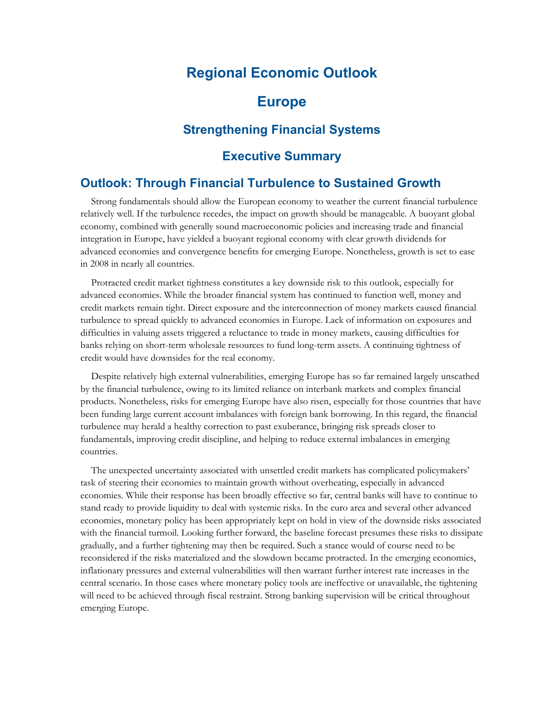# **Regional Economic Outlook**

## **Europe**

### **Strengthening Financial Systems**

### **Executive Summary**

### **Outlook: Through Financial Turbulence to Sustained Growth**

 Strong fundamentals should allow the European economy to weather the current financial turbulence relatively well. If the turbulence recedes, the impact on growth should be manageable. A buoyant global economy, combined with generally sound macroeconomic policies and increasing trade and financial integration in Europe, have yielded a buoyant regional economy with clear growth dividends for advanced economies and convergence benefits for emerging Europe. Nonetheless, growth is set to ease in 2008 in nearly all countries.

 Protracted credit market tightness constitutes a key downside risk to this outlook, especially for advanced economies. While the broader financial system has continued to function well, money and credit markets remain tight. Direct exposure and the interconnection of money markets caused financial turbulence to spread quickly to advanced economies in Europe. Lack of information on exposures and difficulties in valuing assets triggered a reluctance to trade in money markets, causing difficulties for banks relying on short-term wholesale resources to fund long-term assets. A continuing tightness of credit would have downsides for the real economy.

 Despite relatively high external vulnerabilities, emerging Europe has so far remained largely unscathed by the financial turbulence, owing to its limited reliance on interbank markets and complex financial products. Nonetheless, risks for emerging Europe have also risen, especially for those countries that have been funding large current account imbalances with foreign bank borrowing. In this regard, the financial turbulence may herald a healthy correction to past exuberance, bringing risk spreads closer to fundamentals, improving credit discipline, and helping to reduce external imbalances in emerging countries.

 The unexpected uncertainty associated with unsettled credit markets has complicated policymakers' task of steering their economies to maintain growth without overheating, especially in advanced economies. While their response has been broadly effective so far, central banks will have to continue to stand ready to provide liquidity to deal with systemic risks. In the euro area and several other advanced economies, monetary policy has been appropriately kept on hold in view of the downside risks associated with the financial turmoil. Looking further forward, the baseline forecast presumes these risks to dissipate gradually, and a further tightening may then be required. Such a stance would of course need to be reconsidered if the risks materialized and the slowdown became protracted. In the emerging economies, inflationary pressures and external vulnerabilities will then warrant further interest rate increases in the central scenario. In those cases where monetary policy tools are ineffective or unavailable, the tightening will need to be achieved through fiscal restraint. Strong banking supervision will be critical throughout emerging Europe.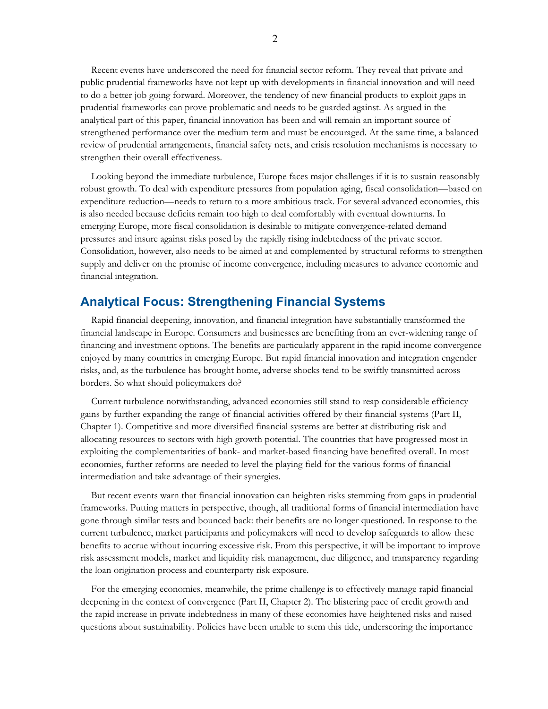Recent events have underscored the need for financial sector reform. They reveal that private and public prudential frameworks have not kept up with developments in financial innovation and will need to do a better job going forward. Moreover, the tendency of new financial products to exploit gaps in prudential frameworks can prove problematic and needs to be guarded against. As argued in the analytical part of this paper, financial innovation has been and will remain an important source of strengthened performance over the medium term and must be encouraged. At the same time, a balanced review of prudential arrangements, financial safety nets, and crisis resolution mechanisms is necessary to strengthen their overall effectiveness.

 Looking beyond the immediate turbulence, Europe faces major challenges if it is to sustain reasonably robust growth. To deal with expenditure pressures from population aging, fiscal consolidation—based on expenditure reduction—needs to return to a more ambitious track. For several advanced economies, this is also needed because deficits remain too high to deal comfortably with eventual downturns. In emerging Europe, more fiscal consolidation is desirable to mitigate convergence-related demand pressures and insure against risks posed by the rapidly rising indebtedness of the private sector. Consolidation, however, also needs to be aimed at and complemented by structural reforms to strengthen supply and deliver on the promise of income convergence, including measures to advance economic and financial integration.

#### **Analytical Focus: Strengthening Financial Systems**

 Rapid financial deepening, innovation, and financial integration have substantially transformed the financial landscape in Europe. Consumers and businesses are benefiting from an ever-widening range of financing and investment options. The benefits are particularly apparent in the rapid income convergence enjoyed by many countries in emerging Europe. But rapid financial innovation and integration engender risks, and, as the turbulence has brought home, adverse shocks tend to be swiftly transmitted across borders. So what should policymakers do?

 Current turbulence notwithstanding, advanced economies still stand to reap considerable efficiency gains by further expanding the range of financial activities offered by their financial systems (Part II, Chapter 1). Competitive and more diversified financial systems are better at distributing risk and allocating resources to sectors with high growth potential. The countries that have progressed most in exploiting the complementarities of bank- and market-based financing have benefited overall. In most economies, further reforms are needed to level the playing field for the various forms of financial intermediation and take advantage of their synergies.

 But recent events warn that financial innovation can heighten risks stemming from gaps in prudential frameworks. Putting matters in perspective, though, all traditional forms of financial intermediation have gone through similar tests and bounced back: their benefits are no longer questioned. In response to the current turbulence, market participants and policymakers will need to develop safeguards to allow these benefits to accrue without incurring excessive risk. From this perspective, it will be important to improve risk assessment models, market and liquidity risk management, due diligence, and transparency regarding the loan origination process and counterparty risk exposure.

 For the emerging economies, meanwhile, the prime challenge is to effectively manage rapid financial deepening in the context of convergence (Part II, Chapter 2). The blistering pace of credit growth and the rapid increase in private indebtedness in many of these economies have heightened risks and raised questions about sustainability. Policies have been unable to stem this tide, underscoring the importance